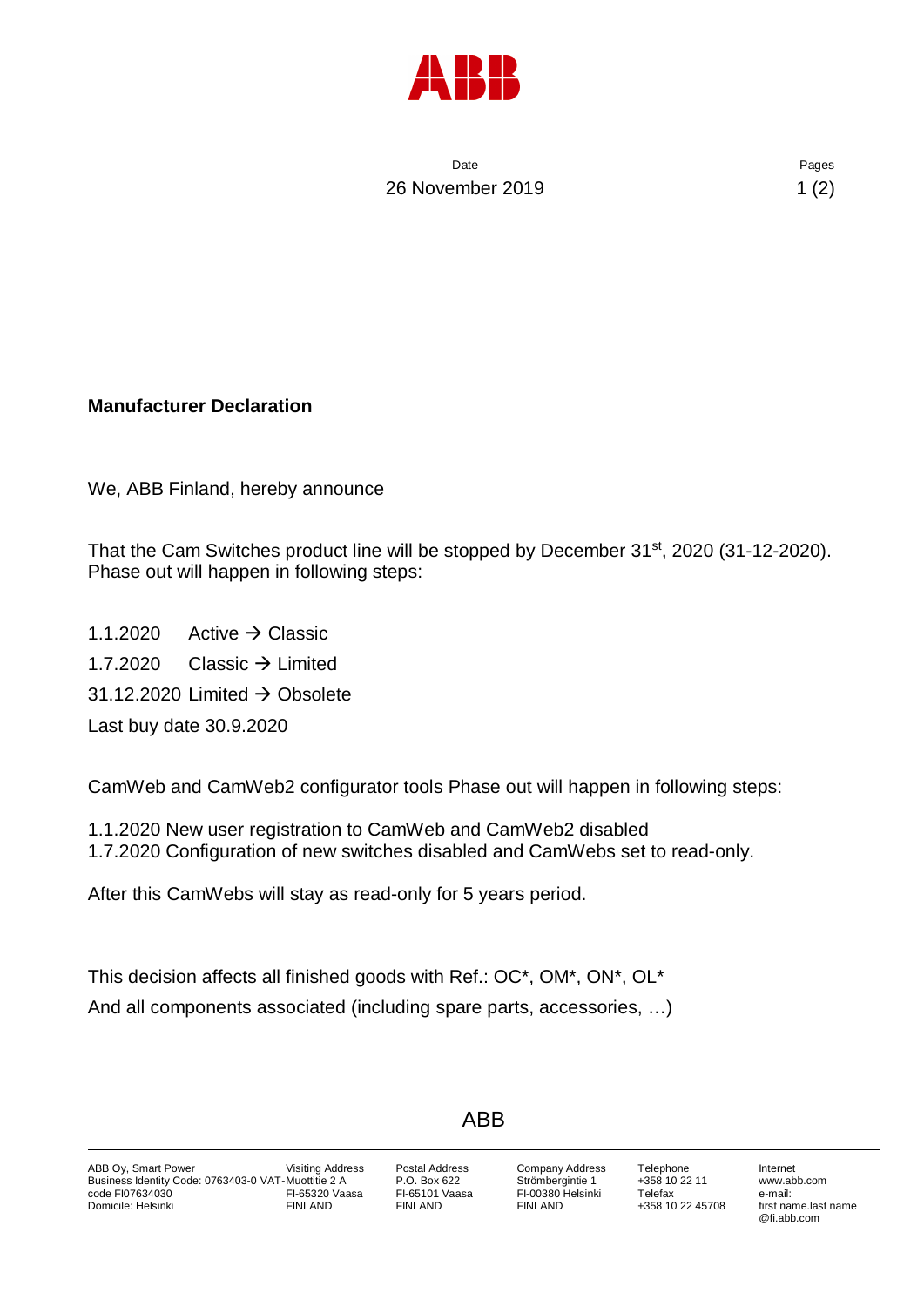

Date **Date** Pages 26 November 2019 1 (2)

## **Manufacturer Declaration**

We, ABB Finland, hereby announce

That the Cam Switches product line will be stopped by December 31<sup>st</sup>, 2020 (31-12-2020). Phase out will happen in following steps:

1.1.2020 Active  $\rightarrow$  Classic 1.7.2020 Classic  $\rightarrow$  Limited 31.12.2020 Limited  $\rightarrow$  Obsolete Last buy date 30.9.2020

CamWeb and CamWeb2 configurator tools Phase out will happen in following steps:

1.1.2020 New user registration to CamWeb and CamWeb2 disabled 1.7.2020 Configuration of new switches disabled and CamWebs set to read-only.

After this CamWebs will stay as read-only for 5 years period.

This decision affects all finished goods with Ref.: OC\*, OM\*, ON\*, OL\* And all components associated (including spare parts, accessories, …)

## ABB

Postal Address P.O. Box 622 FI-65101 Vaasa FINLAND

Company Address Strömbergintie 1 FI-00380 Helsinki FINLAND

Telephone +358 10 22 11 Telefax +358 10 22 45708

Internet www.abb.com e-mail: first name.last name @fi.abb.com